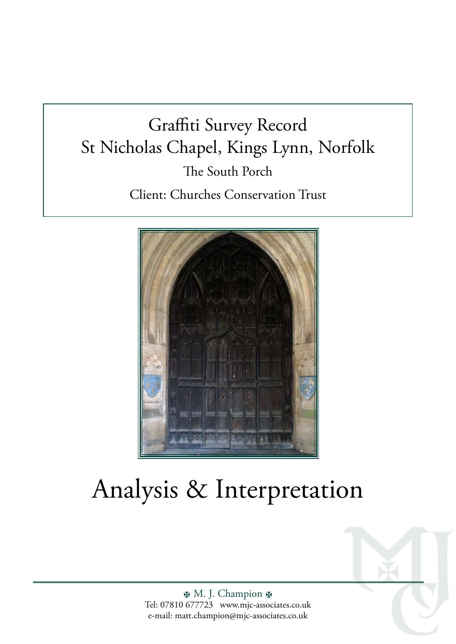## Graffiti Survey Record St Nicholas Chapel, Kings Lynn, Norfolk The South Porch Client: Churches Conservation Trust



# Analysis & Interpretation

H. M. J. Champion H Tel: 07810 677723 www.mjc-associates.co.uk e-mail: matt.champion@mjc-associates.co.uk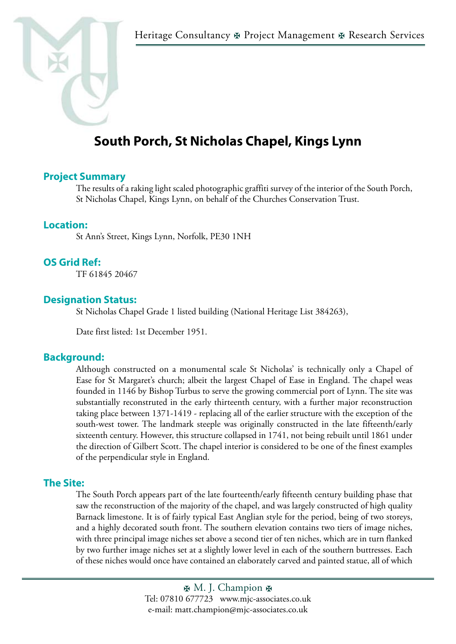

### **South Porch, St Nicholas Chapel, Kings Lynn**

#### **Project Summary**

The results of a raking light scaled photographic graffiti survey of the interior of the South Porch, St Nicholas Chapel, Kings Lynn, on behalf of the Churches Conservation Trust.

#### **Location:**

St Ann's Street, Kings Lynn, Norfolk, PE30 1NH

#### **OS Grid Ref:**

TF 61845 20467

#### **Designation Status:**

St Nicholas Chapel Grade 1 listed building (National Heritage List 384263),

Date first listed: 1st December 1951.

#### **Background:**

Although constructed on a monumental scale St Nicholas' is technically only a Chapel of Ease for St Margaret's church; albeit the largest Chapel of Ease in England. The chapel weas founded in 1146 by Bishop Turbus to serve the growing commercial port of Lynn. The site was substantially reconstruted in the early thirteenth century, with a further major reconstruction taking place between 1371-1419 - replacing all of the earlier structure with the exception of the south-west tower. The landmark steeple was originally constructed in the late fifteenth/early sixteenth century. However, this structure collapsed in 1741, not being rebuilt until 1861 under the direction of Gilbert Scott. The chapel interior is considered to be one of the finest examples of the perpendicular style in England.

#### **The Site:**

The South Porch appears part of the late fourteenth/early fifteenth century building phase that saw the reconstruction of the majority of the chapel, and was largely constructed of high quality Barnack limestone. It is of fairly typical East Anglian style for the period, being of two storeys, and a highly decorated south front. The southern elevation contains two tiers of image niches, with three principal image niches set above a second tier of ten niches, which are in turn flanked by two further image niches set at a slightly lower level in each of the southern buttresses. Each of these niches would once have contained an elaborately carved and painted statue, all of which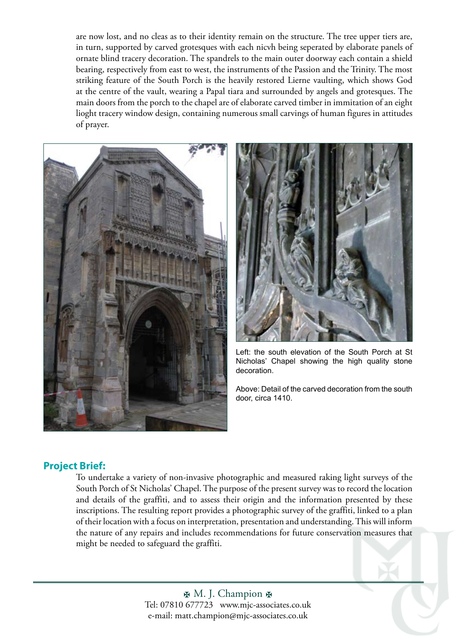are now lost, and no cleas as to their identity remain on the structure. The tree upper tiers are, in turn, supported by carved grotesques with each nicvh being seperated by elaborate panels of ornate blind tracery decoration. The spandrels to the main outer doorway each contain a shield bearing, respectively from east to west, the instruments of the Passion and the Trinity. The most striking feature of the South Porch is the heavily restored Lierne vaulting, which shows God at the centre of the vault, wearing a Papal tiara and surrounded by angels and grotesques. The main doors from the porch to the chapel are of elaborate carved timber in immitation of an eight lioght tracery window design, containing numerous small carvings of human figures in attitudes of prayer.





Left: the south elevation of the South Porch at St Nicholas' Chapel showing the high quality stone decoration.

Above: Detail of the carved decoration from the south door, circa 1410.

#### **Project Brief:**

To undertake a variety of non-invasive photographic and measured raking light surveys of the South Porch of St Nicholas' Chapel. The purpose of the present survey was to record the location and details of the graffiti, and to assess their origin and the information presented by these inscriptions. The resulting report provides a photographic survey of the graffiti, linked to a plan of their location with a focus on interpretation, presentation and understanding. This will inform the nature of any repairs and includes recommendations for future conservation measures that might be needed to safeguard the graffiti.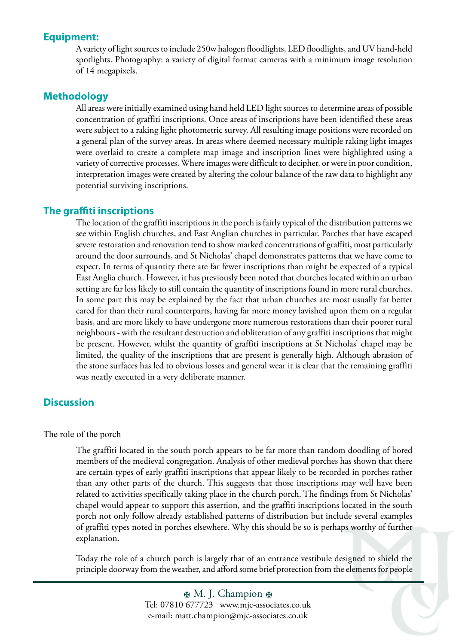#### **Equipment:**

A variety of light sources to include 250w halogen floodlights, LED floodlights, and UV hand-held spotlights. Photography: a variety of digital format cameras with a minimum image resolution of 14 megapixels.

#### **Methodology**

All areas were initially examined using hand held LED light sources to determine areas of possible concentration of graffiti inscriptions. Once areas of inscriptions have been identified these areas were subject to a raking light photometric survey. All resulting image positions were recorded on a general plan of the survey areas. In areas where deemed necessary multiple raking light images were overlaid to create a complete map image and inscription lines were highlighted using a variety of corrective processes. Where images were difficult to decipher, or were in poor condition, interpretation images were created by altering the colour balance of the raw data to highlight any potential surviving inscriptions.

#### **The graffiti inscriptions**

The location of the graffiti inscriptions in the porch is fairly typical of the distribution patterns we see within English churches, and East Anglian churches in particular. Porches that have escaped severe restoration and renovation tend to show marked concentrations of graffiti, most particularly around the door surrounds, and St Nicholas' chapel demonstrates patterns that we have come to expect. In terms of quantity there are far fewer inscriptions than might be expected of a typical East Anglia church. However, it has previously been noted that churches located within an urban setting are far less likely to still contain the quantity of inscriptions found in more rural churches. In some part this may be explained by the fact that urban churches are most usually far better cared for than their rural counterparts, having far more money lavished upon them on a regular basis, and are more likely to have undergone more numerous restorations than their poorer rural neighbours - with the resultant destruction and obliteration of any graffiti inscriptions that might be present. However, whilst the quantity of graffiti inscriptions at St Nicholas' chapel may be limited, the quality of the inscriptions that are present is generally high. Although abrasion of the stone surfaces has led to obvious losses and general wear it is clear that the remaining graffiti was neatly executed in a very deliberate manner.

#### **Discussion**

#### The role of the porch

The graffiti located in the south porch appears to be far more than random doodling of bored members of the medieval congregation. Analysis of other medieval porches has shown that there are certain types of early graffiti inscriptions that appear likely to be recorded in porches rather than any other parts of the church. This suggests that those inscriptions may well have been related to activities specifically taking place in the church porch. The findings from St Nicholas' chapel would appear to support this assertion, and the graffiti inscriptions located in the south porch not only follow already established patterns of distribution but include several examples of graffiti types noted in porches elsewhere. Why this should be so is perhaps worthy of further explanation.

Today the role of a church porch is largely that of an entrance vestibule designed to shield the principle doorway from the weather, and afford some brief protection from the elements for people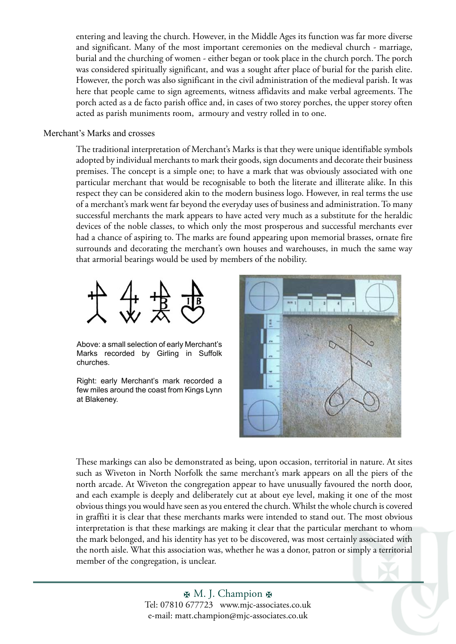entering and leaving the church. However, in the Middle Ages its function was far more diverse and significant. Many of the most important ceremonies on the medieval church - marriage, burial and the churching of women - either began or took place in the church porch. The porch was considered spiritually significant, and was a sought after place of burial for the parish elite. However, the porch was also significant in the civil administration of the medieval parish. It was here that people came to sign agreements, witness affidavits and make verbal agreements. The porch acted as a de facto parish office and, in cases of two storey porches, the upper storey often acted as parish muniments room, armoury and vestry rolled in to one.

#### Merchant's Marks and crosses

The traditional interpretation of Merchant's Marks is that they were unique identifiable symbols adopted by individual merchants to mark their goods, sign documents and decorate their business premises. The concept is a simple one; to have a mark that was obviously associated with one particular merchant that would be recognisable to both the literate and illiterate alike. In this respect they can be considered akin to the modern business logo. However, in real terms the use of a merchant's mark went far beyond the everyday uses of business and administration. To many successful merchants the mark appears to have acted very much as a substitute for the heraldic devices of the noble classes, to which only the most prosperous and successful merchants ever had a chance of aspiring to. The marks are found appearing upon memorial brasses, ornate fire surrounds and decorating the merchant's own houses and warehouses, in much the same way that armorial bearings would be used by members of the nobility.



Above: a small selection of early Merchant's Marks recorded by Girling in Suffolk churches.

Right: early Merchant's mark recorded a few miles around the coast from Kings Lynn at Blakeney.



These markings can also be demonstrated as being, upon occasion, territorial in nature. At sites such as Wiveton in North Norfolk the same merchant's mark appears on all the piers of the north arcade. At Wiveton the congregation appear to have unusually favoured the north door, and each example is deeply and deliberately cut at about eye level, making it one of the most obvious things you would have seen as you entered the church. Whilst the whole church is covered in graffiti it is clear that these merchants marks were intended to stand out. The most obvious interpretation is that these markings are making it clear that the particular merchant to whom the mark belonged, and his identity has yet to be discovered, was most certainly associated with the north aisle. What this association was, whether he was a donor, patron or simply a territorial member of the congregation, is unclear.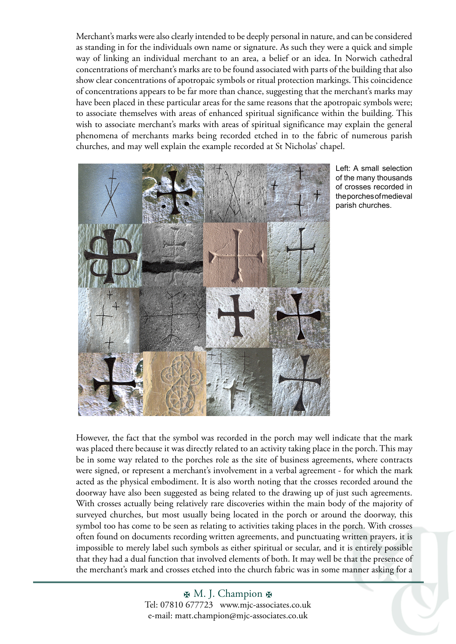Merchant's marks were also clearly intended to be deeply personal in nature, and can be considered as standing in for the individuals own name or signature. As such they were a quick and simple way of linking an individual merchant to an area, a belief or an idea. In Norwich cathedral concentrations of merchant's marks are to be found associated with parts of the building that also show clear concentrations of apotropaic symbols or ritual protection markings. This coincidence of concentrations appears to be far more than chance, suggesting that the merchant's marks may have been placed in these particular areas for the same reasons that the apotropaic symbols were; to associate themselves with areas of enhanced spiritual significance within the building. This wish to associate merchant's marks with areas of spiritual significance may explain the general phenomena of merchants marks being recorded etched in to the fabric of numerous parish churches, and may well explain the example recorded at St Nicholas' chapel.



Left: A small selection of the many thousands of crosses recorded in the porches of medieval parish churches.

However, the fact that the symbol was recorded in the porch may well indicate that the mark was placed there because it was directly related to an activity taking place in the porch. This may be in some way related to the porches role as the site of business agreements, where contracts were signed, or represent a merchant's involvement in a verbal agreement - for which the mark acted as the physical embodiment. It is also worth noting that the crosses recorded around the doorway have also been suggested as being related to the drawing up of just such agreements. With crosses actually being relatively rare discoveries within the main body of the majority of surveyed churches, but most usually being located in the porch or around the doorway, this symbol too has come to be seen as relating to activities taking places in the porch. With crosses often found on documents recording written agreements, and punctuating written prayers, it is impossible to merely label such symbols as either spiritual or secular, and it is entirely possible that they had a dual function that involved elements of both. It may well be that the presence of the merchant's mark and crosses etched into the church fabric was in some manner asking for a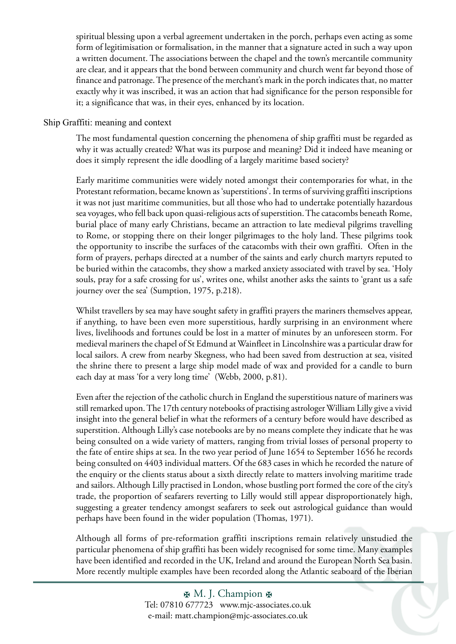spiritual blessing upon a verbal agreement undertaken in the porch, perhaps even acting as some form of legitimisation or formalisation, in the manner that a signature acted in such a way upon a written document. The associations between the chapel and the town's mercantile community are clear, and it appears that the bond between community and church went far beyond those of finance and patronage. The presence of the merchant's mark in the porch indicates that, no matter exactly why it was inscribed, it was an action that had significance for the person responsible for it; a significance that was, in their eyes, enhanced by its location.

Ship Graffiti: meaning and context

The most fundamental question concerning the phenomena of ship graffiti must be regarded as why it was actually created? What was its purpose and meaning? Did it indeed have meaning or does it simply represent the idle doodling of a largely maritime based society?

Early maritime communities were widely noted amongst their contemporaries for what, in the Protestant reformation, became known as 'superstitions'. In terms of surviving graffiti inscriptions it was not just maritime communities, but all those who had to undertake potentially hazardous sea voyages, who fell back upon quasi-religious acts of superstition. The catacombs beneath Rome, burial place of many early Christians, became an attraction to late medieval pilgrims travelling to Rome, or stopping there on their longer pilgrimages to the holy land. These pilgrims took the opportunity to inscribe the surfaces of the catacombs with their own graffiti. Often in the form of prayers, perhaps directed at a number of the saints and early church martyrs reputed to be buried within the catacombs, they show a marked anxiety associated with travel by sea. 'Holy souls, pray for a safe crossing for us', writes one, whilst another asks the saints to 'grant us a safe journey over the sea' (Sumption, 1975, p.218).

Whilst travellers by sea may have sought safety in graffiti prayers the mariners themselves appear, if anything, to have been even more superstitious, hardly surprising in an environment where lives, livelihoods and fortunes could be lost in a matter of minutes by an unforeseen storm. For medieval mariners the chapel of St Edmund at Wainfleet in Lincolnshire was a particular draw for local sailors. A crew from nearby Skegness, who had been saved from destruction at sea, visited the shrine there to present a large ship model made of wax and provided for a candle to burn each day at mass 'for a very long time' (Webb, 2000, p.81).

Even after the rejection of the catholic church in England the superstitious nature of mariners was still remarked upon. The 17th century notebooks of practising astrologer William Lilly give a vivid insight into the general belief in what the reformers of a century before would have described as superstition. Although Lilly's case notebooks are by no means complete they indicate that he was being consulted on a wide variety of matters, ranging from trivial losses of personal property to the fate of entire ships at sea. In the two year period of June 1654 to September 1656 he records being consulted on 4403 individual matters. Of the 683 cases in which he recorded the nature of the enquiry or the clients status about a sixth directly relate to matters involving maritime trade and sailors. Although Lilly practised in London, whose bustling port formed the core of the city's trade, the proportion of seafarers reverting to Lilly would still appear disproportionately high, suggesting a greater tendency amongst seafarers to seek out astrological guidance than would perhaps have been found in the wider population (Thomas, 1971).

Although all forms of pre-reformation graffiti inscriptions remain relatively unstudied the particular phenomena of ship graffiti has been widely recognised for some time. Many examples have been identified and recorded in the UK, Ireland and around the European North Sea basin. More recently multiple examples have been recorded along the Atlantic seaboard of the Iberian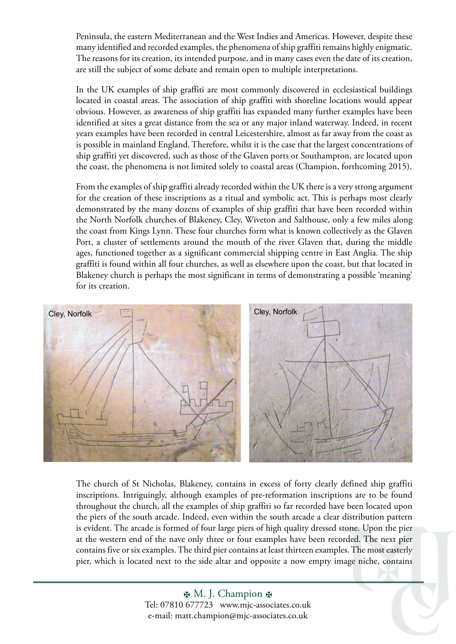Peninsula, the eastern Mediterranean and the West Indies and Americas. However, despite these many identified and recorded examples, the phenomena of ship graffiti remains highly enigmatic. The reasons for its creation, its intended purpose, and in many cases even the date of its creation, are still the subject of some debate and remain open to multiple interpretations.

In the UK examples of ship graffiti are most commonly discovered in ecclesiastical buildings located in coastal areas. The association of ship graffiti with shoreline locations would appear obvious. However, as awareness of ship graffiti has expanded many further examples have been identified at sites a great distance from the sea or any major inland waterway. Indeed, in recent years examples have been recorded in central Leicestershire, almost as far away from the coast as is possible in mainland England. Therefore, whilst it is the case that the largest concentrations of ship graffiti yet discovered, such as those of the Glaven ports or Southampton, are located upon the coast, the phenomena is not limited solely to coastal areas (Champion, forthcoming 2015).

From the examples of ship graffiti already recorded within the UK there is a very strong argument for the creation of these inscriptions as a ritual and symbolic act. This is perhaps most clearly demonstrated by the many dozens of examples of ship graffiti that have been recorded within the North Norfolk churches of Blakeney, Cley, Wiveton and Salthouse, only a few miles along the coast from Kings Lynn. These four churches form what is known collectively as the Glaven Port, a cluster of settlements around the mouth of the river Glaven that, during the middle ages, functioned together as a significant commercial shipping centre in East Anglia. The ship graffiti is found within all four churches, as well as elsewhere upon the coast, but that located in Blakeney church is perhaps the most significant in terms of demonstrating a possible 'meaning' for its creation.



The church of St Nicholas, Blakeney, contains in excess of forty clearly defined ship graffiti inscriptions. Intriguingly, although examples of pre-reformation inscriptions are to be found throughout the church, all the examples of ship graffiti so far recorded have been located upon the piers of the south arcade. Indeed, even within the south arcade a clear distribution pattern is evident. The arcade is formed of four large piers of high quality dressed stone. Upon the pier at the western end of the nave only three or four examples have been recorded. The next pier contains five or six examples. The third pier contains at least thirteen examples. The most easterly pier, which is located next to the side altar and opposite a now empty image niche, contains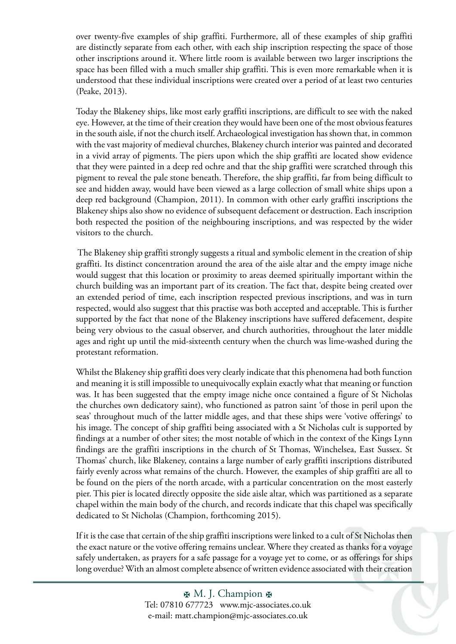over twenty-five examples of ship graffiti. Furthermore, all of these examples of ship graffiti are distinctly separate from each other, with each ship inscription respecting the space of those other inscriptions around it. Where little room is available between two larger inscriptions the space has been filled with a much smaller ship graffiti. This is even more remarkable when it is understood that these individual inscriptions were created over a period of at least two centuries (Peake, 2013).

Today the Blakeney ships, like most early graffiti inscriptions, are difficult to see with the naked eye. However, at the time of their creation they would have been one of the most obvious features in the south aisle, if not the church itself. Archaeological investigation has shown that, in common with the vast majority of medieval churches, Blakeney church interior was painted and decorated in a vivid array of pigments. The piers upon which the ship graffiti are located show evidence that they were painted in a deep red ochre and that the ship graffiti were scratched through this pigment to reveal the pale stone beneath. Therefore, the ship graffiti, far from being difficult to see and hidden away, would have been viewed as a large collection of small white ships upon a deep red background (Champion, 2011). In common with other early graffiti inscriptions the Blakeney ships also show no evidence of subsequent defacement or destruction. Each inscription both respected the position of the neighbouring inscriptions, and was respected by the wider visitors to the church.

 The Blakeney ship graffiti strongly suggests a ritual and symbolic element in the creation of ship graffiti. Its distinct concentration around the area of the aisle altar and the empty image niche would suggest that this location or proximity to areas deemed spiritually important within the church building was an important part of its creation. The fact that, despite being created over an extended period of time, each inscription respected previous inscriptions, and was in turn respected, would also suggest that this practise was both accepted and acceptable. This is further supported by the fact that none of the Blakeney inscriptions have suffered defacement, despite being very obvious to the casual observer, and church authorities, throughout the later middle ages and right up until the mid-sixteenth century when the church was lime-washed during the protestant reformation.

Whilst the Blakeney ship graffiti does very clearly indicate that this phenomena had both function and meaning it is still impossible to unequivocally explain exactly what that meaning or function was. It has been suggested that the empty image niche once contained a figure of St Nicholas the churches own dedicatory saint), who functioned as patron saint 'of those in peril upon the seas' throughout much of the latter middle ages, and that these ships were 'votive offerings' to his image. The concept of ship graffiti being associated with a St Nicholas cult is supported by findings at a number of other sites; the most notable of which in the context of the Kings Lynn findings are the graffiti inscriptions in the church of St Thomas, Winchelsea, East Sussex. St Thomas' church, like Blakeney, contains a large number of early graffiti inscriptions distributed fairly evenly across what remains of the church. However, the examples of ship graffiti are all to be found on the piers of the north arcade, with a particular concentration on the most easterly pier. This pier is located directly opposite the side aisle altar, which was partitioned as a separate chapel within the main body of the church, and records indicate that this chapel was specifically dedicated to St Nicholas (Champion, forthcoming 2015).

If it is the case that certain of the ship graffiti inscriptions were linked to a cult of St Nicholas then the exact nature or the votive offering remains unclear. Where they created as thanks for a voyage safely undertaken, as prayers for a safe passage for a voyage yet to come, or as offerings for ships long overdue? With an almost complete absence of written evidence associated with their creation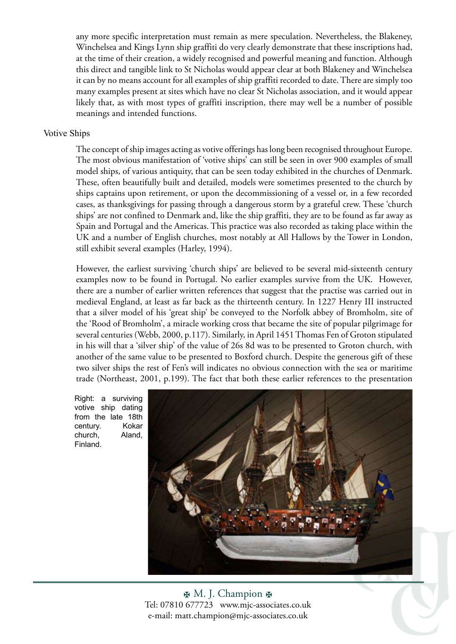any more specific interpretation must remain as mere speculation. Nevertheless, the Blakeney, Winchelsea and Kings Lynn ship graffiti do very clearly demonstrate that these inscriptions had, at the time of their creation, a widely recognised and powerful meaning and function. Although this direct and tangible link to St Nicholas would appear clear at both Blakeney and Winchelsea it can by no means account for all examples of ship graffiti recorded to date. There are simply too many examples present at sites which have no clear St Nicholas association, and it would appear likely that, as with most types of graffiti inscription, there may well be a number of possible meanings and intended functions.

#### Votive Ships

The concept of ship images acting as votive offerings has long been recognised throughout Europe. The most obvious manifestation of 'votive ships' can still be seen in over 900 examples of small model ships, of various antiquity, that can be seen today exhibited in the churches of Denmark. These, often beautifully built and detailed, models were sometimes presented to the church by ships captains upon retirement, or upon the decommissioning of a vessel or, in a few recorded cases, as thanksgivings for passing through a dangerous storm by a grateful crew. These 'church ships' are not confined to Denmark and, like the ship graffiti, they are to be found as far away as Spain and Portugal and the Americas. This practice was also recorded as taking place within the UK and a number of English churches, most notably at All Hallows by the Tower in London, still exhibit several examples (Harley, 1994).

However, the earliest surviving 'church ships' are believed to be several mid-sixteenth century examples now to be found in Portugal. No earlier examples survive from the UK. However, there are a number of earlier written references that suggest that the practise was carried out in medieval England, at least as far back as the thirteenth century. In 1227 Henry III instructed that a silver model of his 'great ship' be conveyed to the Norfolk abbey of Bromholm, site of the 'Rood of Bromholm', a miracle working cross that became the site of popular pilgrimage for several centuries (Webb, 2000, p.117). Similarly, in April 1451 Thomas Fen of Groton stipulated in his will that a 'silver ship' of the value of 26s 8d was to be presented to Groton church, with another of the same value to be presented to Boxford church. Despite the generous gift of these two silver ships the rest of Fen's will indicates no obvious connection with the sea or maritime trade (Northeast, 2001, p.199). The fact that both these earlier references to the presentation

Right: a surviving votive ship dating from the late 18th century. Kokar church, Aland, Finland.



图 M. J. Champion 图 Tel: 07810 677723 www.mjc-associates.co.uk e-mail: matt.champion@mjc-associates.co.uk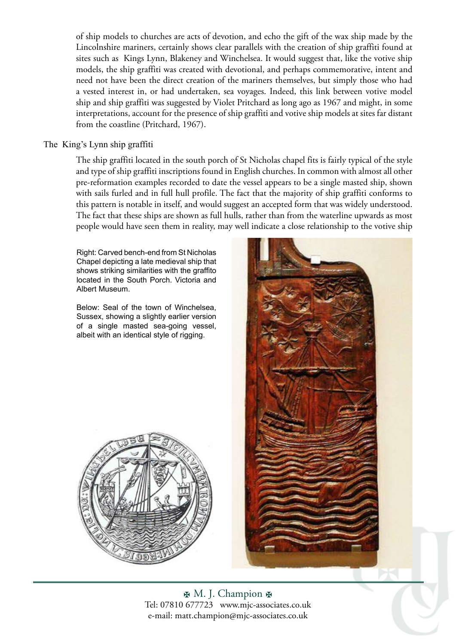of ship models to churches are acts of devotion, and echo the gift of the wax ship made by the Lincolnshire mariners, certainly shows clear parallels with the creation of ship graffiti found at sites such as Kings Lynn, Blakeney and Winchelsea. It would suggest that, like the votive ship models, the ship graffiti was created with devotional, and perhaps commemorative, intent and need not have been the direct creation of the mariners themselves, but simply those who had a vested interest in, or had undertaken, sea voyages. Indeed, this link between votive model ship and ship graffiti was suggested by Violet Pritchard as long ago as 1967 and might, in some interpretations, account for the presence of ship graffiti and votive ship models at sites far distant from the coastline (Pritchard, 1967).

#### The King's Lynn ship graffiti

The ship graffiti located in the south porch of St Nicholas chapel fits is fairly typical of the style and type of ship graffiti inscriptions found in English churches. In common with almost all other pre-reformation examples recorded to date the vessel appears to be a single masted ship, shown with sails furled and in full hull profile. The fact that the majority of ship graffiti conforms to this pattern is notable in itself, and would suggest an accepted form that was widely understood. The fact that these ships are shown as full hulls, rather than from the waterline upwards as most people would have seen them in reality, may well indicate a close relationship to the votive ship

Right: Carved bench-end from St Nicholas Chapel depicting a late medieval ship that shows striking similarities with the graffito located in the South Porch. Victoria and Albert Museum.

Below: Seal of the town of Winchelsea, Sussex, showing a slightly earlier version of a single masted sea-going vessel, albeit with an identical style of rigging.





H. M. J. Champion H Tel: 07810 677723 www.mjc-associates.co.uk e-mail: matt.champion@mjc-associates.co.uk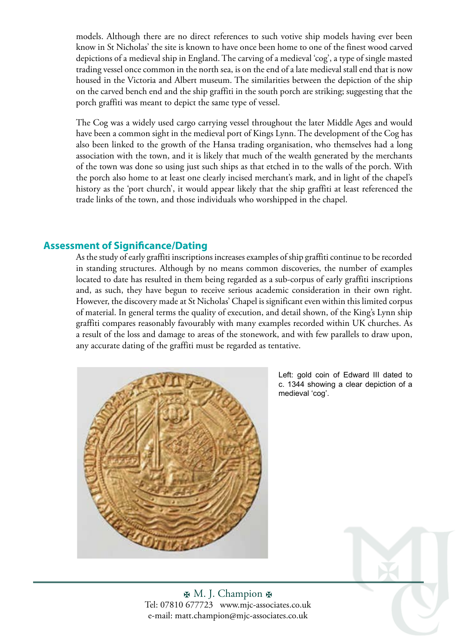models. Although there are no direct references to such votive ship models having ever been know in St Nicholas' the site is known to have once been home to one of the finest wood carved depictions of a medieval ship in England. The carving of a medieval 'cog', a type of single masted trading vessel once common in the north sea, is on the end of a late medieval stall end that is now housed in the Victoria and Albert museum. The similarities between the depiction of the ship on the carved bench end and the ship graffiti in the south porch are striking; suggesting that the porch graffiti was meant to depict the same type of vessel.

The Cog was a widely used cargo carrying vessel throughout the later Middle Ages and would have been a common sight in the medieval port of Kings Lynn. The development of the Cog has also been linked to the growth of the Hansa trading organisation, who themselves had a long association with the town, and it is likely that much of the wealth generated by the merchants of the town was done so using just such ships as that etched in to the walls of the porch. With the porch also home to at least one clearly incised merchant's mark, and in light of the chapel's history as the 'port church', it would appear likely that the ship graffiti at least referenced the trade links of the town, and those individuals who worshipped in the chapel.

#### **Assessment of Significance/Dating**

As the study of early graffiti inscriptions increases examples of ship graffiti continue to be recorded in standing structures. Although by no means common discoveries, the number of examples located to date has resulted in them being regarded as a sub-corpus of early graffiti inscriptions and, as such, they have begun to receive serious academic consideration in their own right. However, the discovery made at St Nicholas' Chapel is significant even within this limited corpus of material. In general terms the quality of execution, and detail shown, of the King's Lynn ship graffiti compares reasonably favourably with many examples recorded within UK churches. As a result of the loss and damage to areas of the stonework, and with few parallels to draw upon, any accurate dating of the graffiti must be regarded as tentative.



Left: gold coin of Edward III dated to c. 1344 showing a clear depiction of a medieval 'cog'.

H. M. J. Champion H Tel: 07810 677723 www.mjc-associates.co.uk e-mail: matt.champion@mjc-associates.co.uk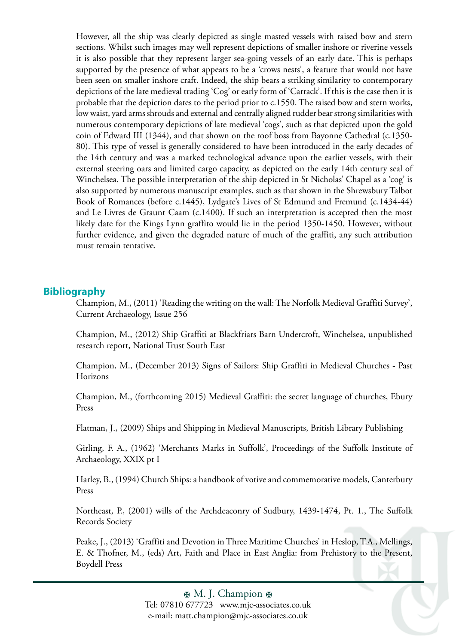However, all the ship was clearly depicted as single masted vessels with raised bow and stern sections. Whilst such images may well represent depictions of smaller inshore or riverine vessels it is also possible that they represent larger sea-going vessels of an early date. This is perhaps supported by the presence of what appears to be a 'crows nests', a feature that would not have been seen on smaller inshore craft. Indeed, the ship bears a striking similarity to contemporary depictions of the late medieval trading 'Cog' or early form of 'Carrack'. If this is the case then it is probable that the depiction dates to the period prior to c.1550. The raised bow and stern works, low waist, yard arms shrouds and external and centrally aligned rudder bear strong similarities with numerous contemporary depictions of late medieval 'cogs', such as that depicted upon the gold coin of Edward III (1344), and that shown on the roof boss from Bayonne Cathedral (c.1350- 80). This type of vessel is generally considered to have been introduced in the early decades of the 14th century and was a marked technological advance upon the earlier vessels, with their external steering oars and limited cargo capacity, as depicted on the early 14th century seal of Winchelsea. The possible interpretation of the ship depicted in St Nicholas' Chapel as a 'cog' is also supported by numerous manuscript examples, such as that shown in the Shrewsbury Talbot Book of Romances (before c.1445), Lydgate's Lives of St Edmund and Fremund (c.1434-44) and Le Livres de Graunt Caam (c.1400). If such an interpretation is accepted then the most likely date for the Kings Lynn graffito would lie in the period 1350-1450. However, without further evidence, and given the degraded nature of much of the graffiti, any such attribution must remain tentative.

#### **Bibliography**

Champion, M., (2011) 'Reading the writing on the wall: The Norfolk Medieval Graffiti Survey', Current Archaeology, Issue 256

Champion, M., (2012) Ship Graffiti at Blackfriars Barn Undercroft, Winchelsea, unpublished research report, National Trust South East

Champion, M., (December 2013) Signs of Sailors: Ship Graffiti in Medieval Churches - Past Horizons

Champion, M., (forthcoming 2015) Medieval Graffiti: the secret language of churches, Ebury Press

Flatman, J., (2009) Ships and Shipping in Medieval Manuscripts, British Library Publishing

Girling, F. A., (1962) 'Merchants Marks in Suffolk', Proceedings of the Suffolk Institute of Archaeology, XXIX pt I

Harley, B., (1994) Church Ships: a handbook of votive and commemorative models, Canterbury Press

Northeast, P., (2001) wills of the Archdeaconry of Sudbury, 1439-1474, Pt. 1., The Suffolk Records Society

Peake, J., (2013) 'Graffiti and Devotion in Three Maritime Churches' in Heslop, T.A., Mellings, E. & Thofner, M., (eds) Art, Faith and Place in East Anglia: from Prehistory to the Present, Boydell Press